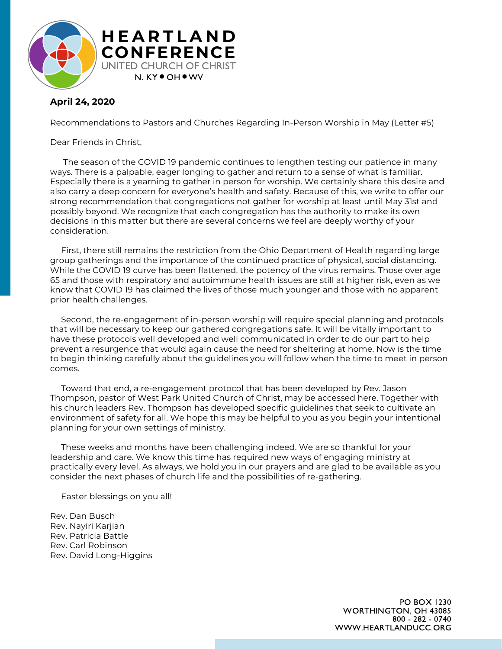

## **April 24, 2020**

Recommendations to Pastors and Churches Regarding In-Person Worship in May (Letter #5)

Dear Friends in Christ,

The season of the COVID 19 pandemic continues to lengthen testing our patience in many ways. There is a palpable, eager longing to gather and return to a sense of what is familiar. Especially there is a yearning to gather in person for worship. We certainly share this desire and also carry a deep concern for everyone's health and safety. Because of this, we write to offer our strong recommendation that congregations not gather for worship at least until May 31st and possibly beyond. We recognize that each congregation has the authority to make its own decisions in this matter but there are several concerns we feel are deeply worthy of your consideration.

First, there still remains the restriction from the Ohio Department of Health regarding large group gatherings and the importance of the continued practice of physical, social distancing. While the COVID 19 curve has been flattened, the potency of the virus remains. Those over age 65 and those with respiratory and autoimmune health issues are still at higher risk, even as we know that COVID 19 has claimed the lives of those much younger and those with no apparent prior health challenges.

Second, the re-engagement of in-person worship will require special planning and protocols that will be necessary to keep our gathered congregations safe. It will be vitally important to have these protocols well developed and well communicated in order to do our part to help prevent a resurgence that would again cause the need for sheltering at home. Now is the time to begin thinking carefully about the guidelines you will follow when the time to meet in person comes.

Toward that end, a re-engagement protocol that has been developed by Rev. Jason Thompson, pastor of West Park United Church of Christ, may be accessed here. Together with his church leaders Rev. Thompson has developed specific guidelines that seek to cultivate an environment of safety for all. We hope this may be helpful to you as you begin your intentional planning for your own settings of ministry.

These weeks and months have been challenging indeed. We are so thankful for your leadership and care. We know this time has required new ways of engaging ministry at practically every level. As always, we hold you in our prayers and are glad to be available as you consider the next phases of church life and the possibilities of re-gathering.

Easter blessings on you all!

Rev. Dan Busch Rev. Nayiri Karjian Rev. Patricia Battle Rev. Carl Robinson Rev. David Long-Higgins

> PO BOX 1230 WORTHINGTON, OH 43085 800 - 282 - 0740 WWW.HEARTLANDUCC.ORG